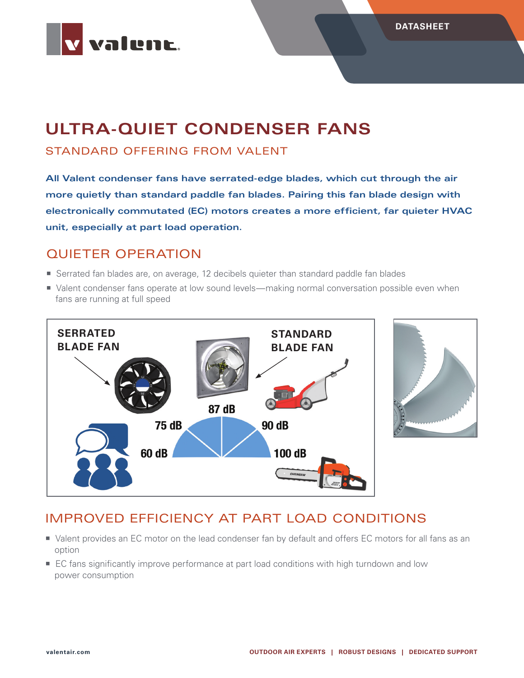

# **ULTRA-QUIET CONDENSER FANS**

#### STANDARD OFFERING FROM VALENT

**All Valent condenser fans have serrated-edge blades, which cut through the air more quietly than standard paddle fan blades. Pairing this fan blade design with electronically commutated (EC) motors creates a more efficient, far quieter HVAC unit, especially at part load operation.**

### QUIETER OPERATION

- Serrated fan blades are, on average, 12 decibels quieter than standard paddle fan blades
- Valent condenser fans operate at low sound levels—making normal conversation possible even when fans are running at full speed





## IMPROVED EFFICIENCY AT PART LOAD CONDITIONS

- Valent provides an EC motor on the lead condenser fan by default and offers EC motors for all fans as an option
- **EC** fans significantly improve performance at part load conditions with high turndown and low power consumption